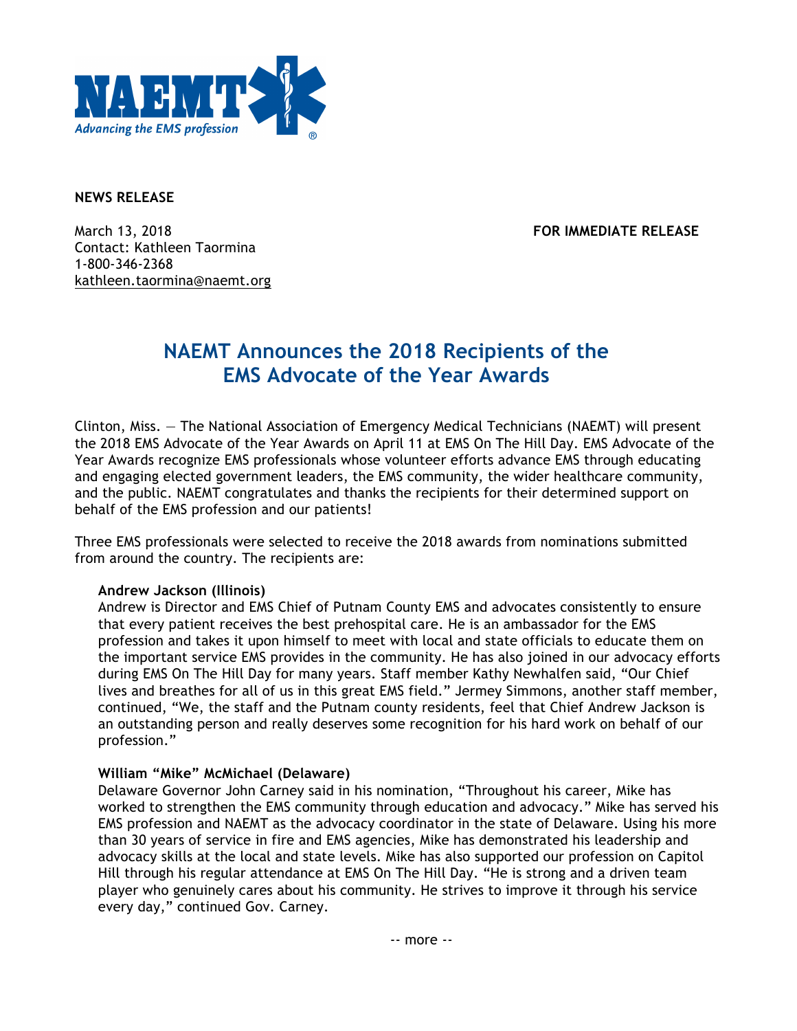

**NEWS RELEASE**

March 13, 2018 **FOR IMMEDIATE RELEASE** Contact: Kathleen Taormina 1-800-346-2368 kathleen.taormina@naemt.org

# **NAEMT Announces the 2018 Recipients of the EMS Advocate of the Year Awards**

Clinton, Miss. — The National Association of Emergency Medical Technicians (NAEMT) will present the 2018 EMS Advocate of the Year Awards on April 11 at EMS On The Hill Day. EMS Advocate of the Year Awards recognize EMS professionals whose volunteer efforts advance EMS through educating and engaging elected government leaders, the EMS community, the wider healthcare community, and the public. NAEMT congratulates and thanks the recipients for their determined support on behalf of the EMS profession and our patients!

Three EMS professionals were selected to receive the 2018 awards from nominations submitted from around the country. The recipients are:

#### **Andrew Jackson (Illinois)**

Andrew is Director and EMS Chief of Putnam County EMS and advocates consistently to ensure that every patient receives the best prehospital care. He is an ambassador for the EMS profession and takes it upon himself to meet with local and state officials to educate them on the important service EMS provides in the community. He has also joined in our advocacy efforts during EMS On The Hill Day for many years. Staff member Kathy Newhalfen said, "Our Chief lives and breathes for all of us in this great EMS field." Jermey Simmons, another staff member, continued, "We, the staff and the Putnam county residents, feel that Chief Andrew Jackson is an outstanding person and really deserves some recognition for his hard work on behalf of our profession."

## **William "Mike" McMichael (Delaware)**

Delaware Governor John Carney said in his nomination, "Throughout his career, Mike has worked to strengthen the EMS community through education and advocacy." Mike has served his EMS profession and NAEMT as the advocacy coordinator in the state of Delaware. Using his more than 30 years of service in fire and EMS agencies, Mike has demonstrated his leadership and advocacy skills at the local and state levels. Mike has also supported our profession on Capitol Hill through his regular attendance at EMS On The Hill Day. "He is strong and a driven team player who genuinely cares about his community. He strives to improve it through his service every day," continued Gov. Carney.